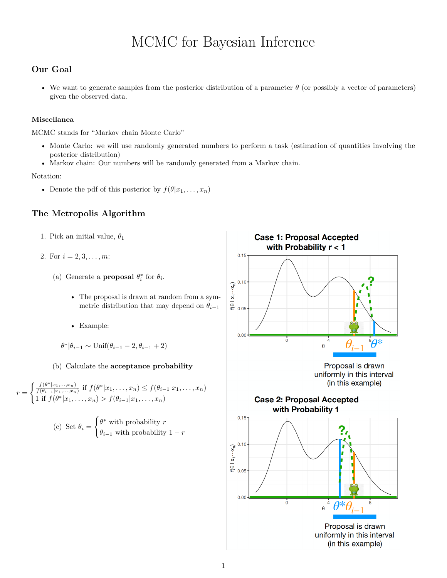# MCMC for Bayesian Inference

## **Our Goal**

• We want to generate samples from the posterior distribution of a parameter  $\theta$  (or possibly a vector of parameters) given the observed data.

## **Miscellanea**

MCMC stands for "Markov chain Monte Carlo"

- Monte Carlo: we will use randomly generated numbers to perform a task (estimation of quantities involving the posterior distribution)
- Markov chain: Our numbers will be randomly generated from a Markov chain.

#### Notation:

• Denote the pdf of this posterior by  $f(\theta|x_1, \ldots, x_n)$ 

## **The Metropolis Algorithm**

- 1. Pick an initial value,  $\theta_1$
- 2. For *i* = 2*,* 3*, . . . , m*:
	- (a) Generate a **proposal**  $\theta_i^*$  for  $\theta_i$ .
		- The proposal is drawn at random from a symmetric distribution that may depend on  $\theta_{i-1}$
		- Example:
		- $\theta^* | \theta_{i-1} \sim \text{Unif}(\theta_{i-1} 2, \theta_{i-1} + 2)$
	- (b) Calculate the **acceptance probability**

$$
r = \begin{cases} \frac{f(\theta^* | x_1, \dots, x_n)}{f(\theta_{i-1} | x_1, \dots, x_n)} & \text{if } f(\theta^* | x_1, \dots, x_n) \le f(\theta_{i-1} | x_1, \dots, x_n) \\ 1 & \text{if } f(\theta^* | x_1, \dots, x_n) > f(\theta_{i-1} | x_1, \dots, x_n) \end{cases}
$$

(c) Set 
$$
\theta_i = \begin{cases} \theta^* \text{ with probability } r \\ \theta_{i-1} \text{ with probability } 1-r \end{cases}
$$

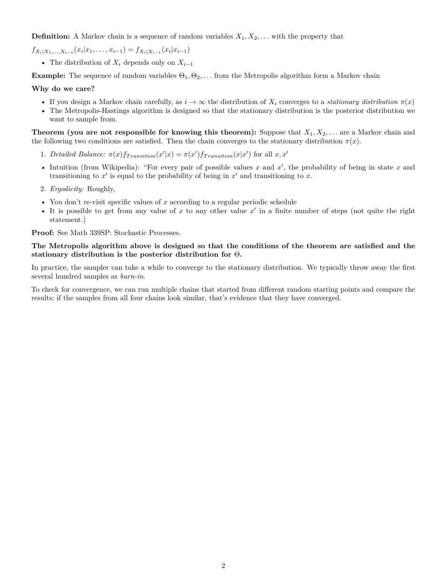## **Definition:** A Markov chain is a sequence of random variables  $X_1, X_2, \ldots$  with the property that

 $f_{X_i|X_1,...,X_{i-1}}(x_i|x_1,...,x_{i-1}) = f_{X_i|X_{i-1}}(x_i|x_{i-1})$ 

• The distribution of  $X_i$  depends only on  $X_{i-1}$ 

**Example:** The sequence of random variables  $\Theta_1, \Theta_2, \ldots$  from the Metropolis algorithm form a Markov chain

## **Why do we care?**

- If you design a Markov chain carefully, as  $i \to \infty$  the distribution of  $X_i$  converges to a *stationary distribution*  $\pi(x)$
- The Metropolis-Hastings algorithm is designed so that the stationary distribution is the posterior distribution we want to sample from.

**Theorem (you are not responsible for knowing this theorem):** Suppose that *X*1*, X*2*, . . .* are a Markov chain and the following two conditions are satisfied. Then the chain converges to the stationary distribution  $\pi(x)$ .

- 1. *Detailed Balance:*  $\pi(x)f_{Transtitution}(x'|x) = \pi(x')f_{Transtitution}(x|x')$  for all  $x, x'$
- Intuition (from Wikipedia): "For every pair of possible values  $x$  and  $x'$ , the probability of being in state  $x$  and transitioning to  $x'$  is equal to the probability of being in  $x'$  and transitioning to  $x$ .
- 2. *Ergodicity:* Roughly,
- You don't re-visit specific values of x according to a regular periodic schedule
- It is possible to get from any value of  $x$  to any other value  $x'$  in a finite number of steps (not quite the right statement.)

**Proof:** See Math 339SP: Stochastic Processes.

## **The Metropolis algorithm above is designed so that the conditions of the theorem are satisfied and the stationary distribution is the posterior distribution for** Θ**.**

In practice, the sampler can take a while to converge to the stationary distribution. We typically throw away the first several hundred samples as *burn-in*.

To check for convergence, we can run multiple chains that started from different random starting points and compare the results; if the samples from all four chains look similar, that's evidence that they have converged.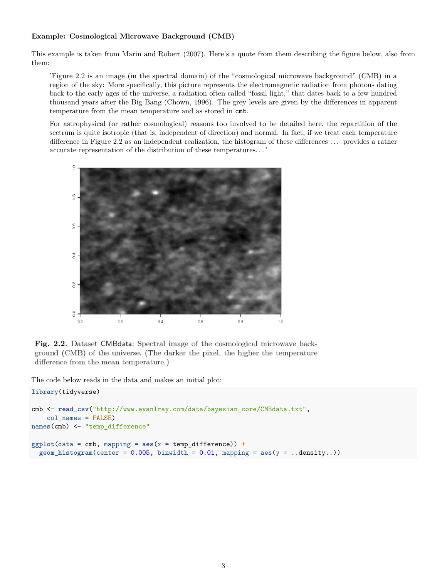## **Example: Cosmological Microwave Background (CMB)**

This example is taken from Marin and Robert (2007). Here's a quote from them describing the figure below, also from them:

'Figure 2.2 is an image (in the spectral domain) of the "cosmological microwave background" (CMB) in a region of the sky: More specifically, this picture represents the electromagnetic radiation from photons dating back to the early ages of the universe, a radiation often called "fossil light," that dates back to a few hundred thousand years after the Big Bang (Chown, 1996). The grey levels are given by the differences in apparent temperature from the mean temperature and as stored in cmb.

For astrophysical (or rather cosmological) reasons too involved to be detailed here, the repartition of the sectrum is quite isotropic (that is, independent of direction) and normal. In fact, if we treat each temperature difference in Figure 2.2 as an independent realization, the histogram of these differences . . . provides a rather accurate representation of the distribution of these temperatures. . . '



Fig. 2.2. Dataset CMBdata: Spectral image of the cosmological microwave background (CMB) of the universe. (The darker the pixel, the higher the temperature difference from the mean temperature.)

The code below reads in the data and makes an initial plot:

```
library(tidyverse)
cmb <- read_csv("http://www.evanlray.com/data/bayesian_core/CMBdata.txt",
    col_names = FALSE)
names(cmb) <- "temp_difference"
ggplot(data = cmb, mapping = aes(x = temp_difference)) +\text{geom}_h histogram(center = 0.005, binwidth = 0.01, mapping = \text{aes}(y = .\text{density}..))
```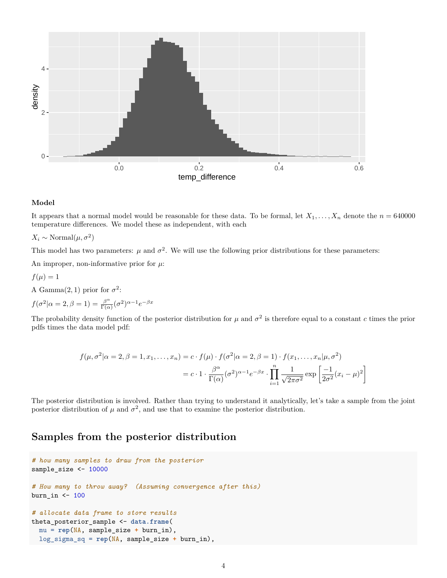

#### **Model**

It appears that a normal model would be reasonable for these data. To be formal, let  $X_1, \ldots, X_n$  denote the  $n = 640000$ temperature differences. We model these as independent, with each

 $X_i \sim \text{Normal}(\mu, \sigma^2)$ 

This model has two parameters:  $\mu$  and  $\sigma^2$ . We will use the following prior distributions for these parameters:

An improper, non-informative prior for *µ*:

 $f(\mu) = 1$ 

A Gamma $(2, 1)$  prior for  $\sigma^2$ :

$$
f(\sigma^2|\alpha=2,\beta=1)=\tfrac{\beta^\alpha}{\Gamma(\alpha)}(\sigma^2)^{\alpha-1}e^{-\beta x}
$$

The probability density function of the posterior distribution for  $\mu$  and  $\sigma^2$  is therefore equal to a constant *c* times the prior pdfs times the data model pdf:

$$
f(\mu, \sigma^2 | \alpha = 2, \beta = 1, x_1, \dots, x_n) = c \cdot f(\mu) \cdot f(\sigma^2 | \alpha = 2, \beta = 1) \cdot f(x_1, \dots, x_n | \mu, \sigma^2)
$$

$$
= c \cdot 1 \cdot \frac{\beta^{\alpha}}{\Gamma(\alpha)} (\sigma^2)^{\alpha - 1} e^{-\beta x} \cdot \prod_{i=1}^n \frac{1}{\sqrt{2\pi\sigma^2}} \exp\left[\frac{-1}{2\sigma^2} (x_i - \mu)^2\right]
$$

The posterior distribution is involved. Rather than trying to understand it analytically, let's take a sample from the joint posterior distribution of  $\mu$  and  $\sigma^2$ , and use that to examine the posterior distribution.

# **Samples from the posterior distribution**

```
# how many samples to draw from the posterior
sample_size <- 10000
# How many to throw away? (Assuming convergence after this)
burn_in <- 100
# allocate data frame to store results
theta_posterior_sample <- data.frame(
 mu = rep(NA, sample_size + burn_in),
  log_sigma_sq = rep(NA, sample_size + burn_in),
```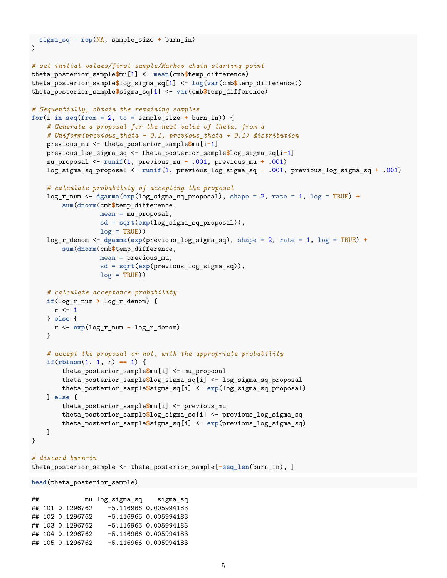```
sigma_sq = rep(NA, sample_size + burn_in)
)
# set initial values/first sample/Markov chain starting point
theta_posterior_sample$mu[1] <- mean(cmb$temp_difference)
theta_posterior_sample$log_sigma_sq[1] <- log(var(cmb$temp_difference))
theta_posterior_sample$sigma_sq[1] <- var(cmb$temp_difference)
# Sequentially, obtain the remaining samples
for(i in seq(from = 2, to = sample_size + burn_in)) {
    # Generate a proposal for the next value of theta, from a
    # Uniform(previous_theta - 0.1, previous_theta + 0.1) distribution
    previous_mu <- theta_posterior_sample$mu[i-1]
    previous_log_sigma_sq <- theta_posterior_sample$log_sigma_sq[i-1]
    mu_proposal <- runif(1, previous_mu - .001, previous_mu + .001)
    log_sigma_sq_proposal <- runif(1, previous_log_sigma_sq - .001, previous_log_sigma_sq + .001)
    # calculate probability of accepting the proposal
    log_r_num <- dgamma(exp(log_sigma_sq_proposal), shape = 2, rate = 1, log = TRUE) +
        sum(dnorm(cmb$temp_difference,
                 mean = mu_proposal,
                  sd = sqrt(exp(log_sigma_sq_proposal)),
                 log = TRUE))
    log_r_denom <- dgamma(exp(previous_log_sigma_sq), shape = 2, rate = 1, log = TRUE) +
        sum(dnorm(cmb$temp_difference,
                 mean = previous_mu,
                 sd = sqrt(exp(previous_log_sigma_sq)),
                 log = TRUE))
    # calculate acceptance probability
    if(log_r_num > log_r_denom) {
     r \leftarrow 1} else {
      r <- exp(log_r_num - log_r_denom)
    }
    # accept the proposal or not, with the appropriate probability
    if(rbinom(1, 1, r) == 1) {
        theta_posterior_sample$mu[i] <- mu_proposal
        theta_posterior_sample$log_sigma_sq[i] <- log_sigma_sq_proposal
        theta_posterior_sample$sigma_sq[i] <- exp(log_sigma_sq_proposal)
    } else {
       theta_posterior_sample$mu[i] <- previous_mu
       theta_posterior_sample$log_sigma_sq[i] <- previous_log_sigma_sq
        theta_posterior_sample$sigma_sq[i] <- exp(previous_log_sigma_sq)
    }
}
# discard burn-in
theta_posterior_sample <- theta_posterior_sample[-seq_len(burn_in), ]
head(theta_posterior_sample)
## mu log_sigma_sq sigma_sq
## 101 0.1296762 -5.116966 0.005994183
## 102 0.1296762 -5.116966 0.005994183
## 103 0.1296762 -5.116966 0.005994183
## 104 0.1296762 -5.116966 0.005994183
## 105 0.1296762 -5.116966 0.005994183
```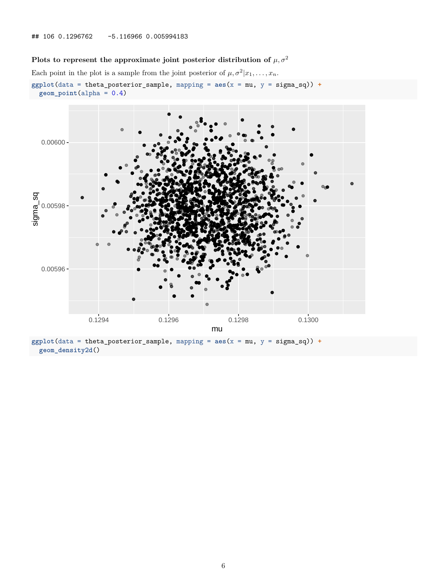## **Plots to represent the approximate joint posterior distribution of**  $\mu$ **,**  $\sigma^2$

Each point in the plot is a sample from the joint posterior of  $\mu, \sigma^2 | x_1, \ldots, x_n$ . **ggplot**(data = theta\_posterior\_sample, mapping = **aes**(x = mu, y = sigma\_sq)) **+ geom\_point**(alpha = 0.4)



**ggplot**(data = theta\_posterior\_sample, mapping = **aes**(x = mu, y = sigma\_sq)) **+ geom\_density2d**()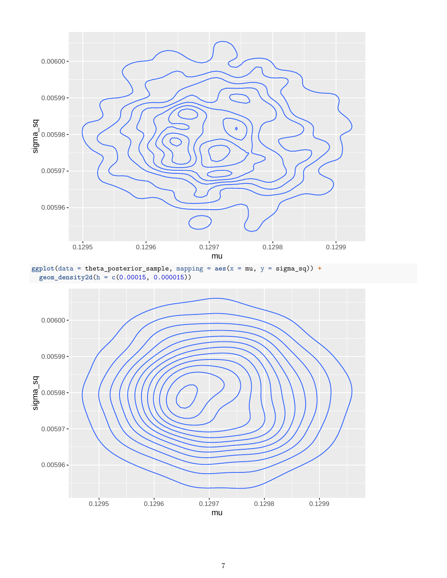



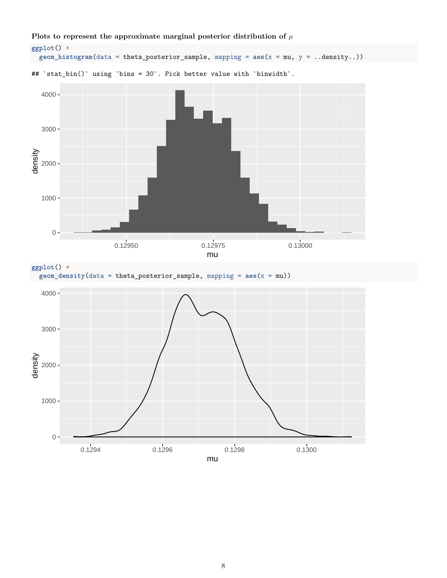



8

Plots to represent the approximate marginal posterior distribution of  $\mu$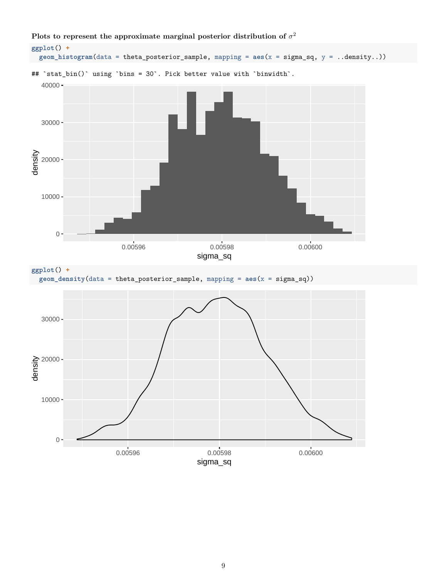

Plots to represent the approximate marginal posterior distribution of  $\sigma^2$ 

**ggplot**() **+ geom\_density**(data = theta\_posterior\_sample, mapping = **aes**(x = sigma\_sq))

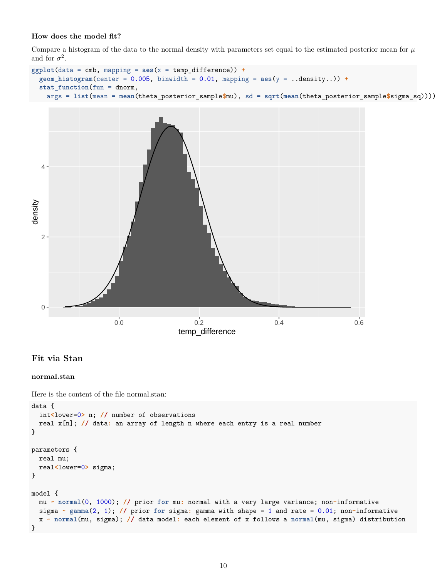## **How does the model fit?**

Compare a histogram of the data to the normal density with parameters set equal to the estimated posterior mean for  $\mu$ and for  $\sigma^2$ .



# temp\_difference

# **Fit via Stan**

## **normal.stan**

Here is the content of the file normal.stan:

```
data {
  int<lower=0> n; // number of observations
  real x[n]; // data: an array of length n where each entry is a real number
}
parameters {
 real mu;
  real<lower=0> sigma;
}
model {
 mu ~ normal(0, 1000); // prior for mu: normal with a very large variance; non-informative
  sigma ~ gamma(2, 1); // prior for sigma: gamma with shape = 1 and rate = 0.01; non-informative
  x ~ normal(mu, sigma); // data model: each element of x follows a normal(mu, sigma) distribution
}
```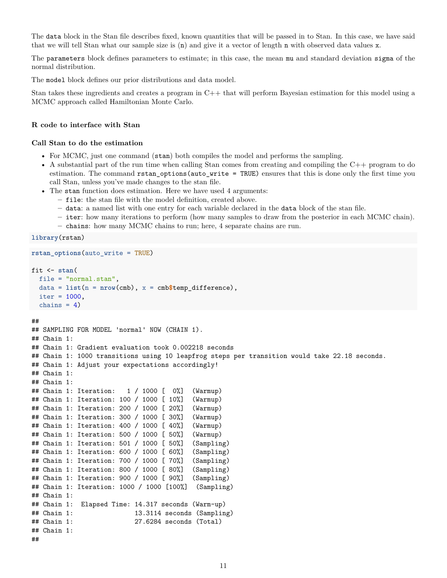The data block in the Stan file describes fixed, known quantities that will be passed in to Stan. In this case, we have said that we will tell Stan what our sample size is (n) and give it a vector of length n with observed data values x.

The parameters block defines parameters to estimate; in this case, the mean mu and standard deviation sigma of the normal distribution.

The model block defines our prior distributions and data model.

Stan takes these ingredients and creates a program in C++ that will perform Bayesian estimation for this model using a MCMC approach called Hamiltonian Monte Carlo.

#### **R code to interface with Stan**

#### **Call Stan to do the estimation**

- For MCMC, just one command (stan) both compiles the model and performs the sampling.
- A substantial part of the run time when calling Stan comes from creating and compiling the C++ program to do estimation. The command rstan\_options(auto\_write = TRUE) ensures that this is done only the first time you call Stan, unless you've made changes to the stan file.
- The stan function does estimation. Here we have used 4 arguments:
	- **–** file: the stan file with the model definition, created above.
		- **–** data: a named list with one entry for each variable declared in the data block of the stan file.
	- **–** iter: how many iterations to perform (how many samples to draw from the posterior in each MCMC chain).
	- **–** chains: how many MCMC chains to run; here, 4 separate chains are run.

#### **library**(rstan)

```
rstan_options(auto_write = TRUE)
```

```
fit <- stan(
```

```
file = "normal.stan",
data = list(n = nrow(cmb), x = cmb$temp_difference),
iter = 1000,chains = 4)
```
#### ##

```
## SAMPLING FOR MODEL 'normal' NOW (CHAIN 1).
## Chain 1:
## Chain 1: Gradient evaluation took 0.002218 seconds
## Chain 1: 1000 transitions using 10 leapfrog steps per transition would take 22.18 seconds.
## Chain 1: Adjust your expectations accordingly!
## Chain 1:
## Chain 1:
## Chain 1: Iteration: 1 / 1000 [ 0%] (Warmup)
## Chain 1: Iteration: 100 / 1000 [ 10%] (Warmup)
## Chain 1: Iteration: 200 / 1000 [ 20%] (Warmup)
## Chain 1: Iteration: 300 / 1000 [ 30%] (Warmup)
## Chain 1: Iteration: 400 / 1000 [ 40%] (Warmup)
## Chain 1: Iteration: 500 / 1000 [ 50%] (Warmup)
## Chain 1: Iteration: 501 / 1000 [ 50%] (Sampling)
## Chain 1: Iteration: 600 / 1000 [ 60%] (Sampling)
## Chain 1: Iteration: 700 / 1000 [ 70%] (Sampling)
## Chain 1: Iteration: 800 / 1000 [ 80%] (Sampling)
## Chain 1: Iteration: 900 / 1000 [ 90%] (Sampling)
## Chain 1: Iteration: 1000 / 1000 [100%] (Sampling)
## Chain 1:
## Chain 1: Elapsed Time: 14.317 seconds (Warm-up)
## Chain 1: 13.3114 seconds (Sampling)
## Chain 1: 27.6284 seconds (Total)
## Chain 1:
##
```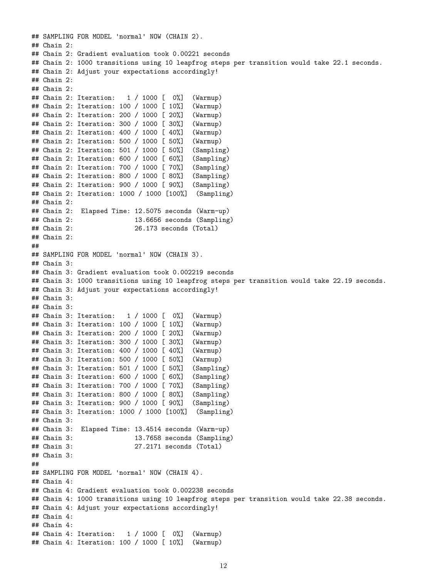```
## SAMPLING FOR MODEL 'normal' NOW (CHAIN 2).
## Chain 2:
## Chain 2: Gradient evaluation took 0.00221 seconds
## Chain 2: 1000 transitions using 10 leapfrog steps per transition would take 22.1 seconds.
## Chain 2: Adjust your expectations accordingly!
## Chain 2:
## Chain 2:
## Chain 2: Iteration: 1 / 1000 [ 0%] (Warmup)
## Chain 2: Iteration: 100 / 1000 [ 10%] (Warmup)
## Chain 2: Iteration: 200 / 1000 [ 20%] (Warmup)
## Chain 2: Iteration: 300 / 1000 [ 30%] (Warmup)
## Chain 2: Iteration: 400 / 1000 [ 40%] (Warmup)
## Chain 2: Iteration: 500 / 1000 [ 50%] (Warmup)
## Chain 2: Iteration: 501 / 1000 [ 50%] (Sampling)
## Chain 2: Iteration: 600 / 1000 [ 60%] (Sampling)
## Chain 2: Iteration: 700 / 1000 [ 70%] (Sampling)
## Chain 2: Iteration: 800 / 1000 [ 80%] (Sampling)
## Chain 2: Iteration: 900 / 1000 [ 90%] (Sampling)
## Chain 2: Iteration: 1000 / 1000 [100%] (Sampling)
## Chain 2:
## Chain 2: Elapsed Time: 12.5075 seconds (Warm-up)
## Chain 2: 13.6656 seconds (Sampling)
## Chain 2: 26.173 seconds (Total)
## Chain 2:
##
## SAMPLING FOR MODEL 'normal' NOW (CHAIN 3).
## Chain 3:
## Chain 3: Gradient evaluation took 0.002219 seconds
## Chain 3: 1000 transitions using 10 leapfrog steps per transition would take 22.19 seconds.
## Chain 3: Adjust your expectations accordingly!
## Chain 3:
## Chain 3:
## Chain 3: Iteration: 1 / 1000 [ 0%] (Warmup)
## Chain 3: Iteration: 100 / 1000 [ 10%] (Warmup)
## Chain 3: Iteration: 200 / 1000 [ 20%] (Warmup)
## Chain 3: Iteration: 300 / 1000 [ 30%] (Warmup)
## Chain 3: Iteration: 400 / 1000 [ 40%] (Warmup)
## Chain 3: Iteration: 500 / 1000 [ 50%] (Warmup)
## Chain 3: Iteration: 501 / 1000 [ 50%] (Sampling)
## Chain 3: Iteration: 600 / 1000 [ 60%] (Sampling)
## Chain 3: Iteration: 700 / 1000 [ 70%] (Sampling)
## Chain 3: Iteration: 800 / 1000 [ 80%] (Sampling)
## Chain 3: Iteration: 900 / 1000 [ 90%] (Sampling)
## Chain 3: Iteration: 1000 / 1000 [100%] (Sampling)
## Chain 3:
## Chain 3: Elapsed Time: 13.4514 seconds (Warm-up)
## Chain 3: 13.7658 seconds (Sampling)
## Chain 3: 27.2171 seconds (Total)
## Chain 3:
##
## SAMPLING FOR MODEL 'normal' NOW (CHAIN 4).
## Chain 4:
## Chain 4: Gradient evaluation took 0.002238 seconds
## Chain 4: 1000 transitions using 10 leapfrog steps per transition would take 22.38 seconds.
## Chain 4: Adjust your expectations accordingly!
## Chain 4:
## Chain 4:
## Chain 4: Iteration: 1 / 1000 [ 0%] (Warmup)
## Chain 4: Iteration: 100 / 1000 [ 10%] (Warmup)
```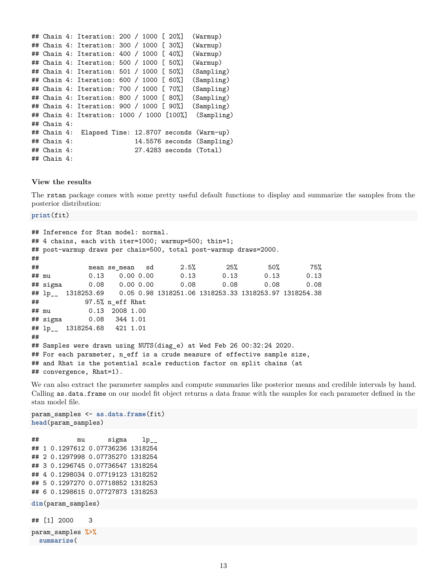```
## Chain 4: Iteration: 200 / 1000 [ 20%] (Warmup)
## Chain 4: Iteration: 300 / 1000 [ 30%] (Warmup)
## Chain 4: Iteration: 400 / 1000 [ 40%] (Warmup)
## Chain 4: Iteration: 500 / 1000 [ 50%] (Warmup)
## Chain 4: Iteration: 501 / 1000 [ 50%] (Sampling)
## Chain 4: Iteration: 600 / 1000 [ 60%] (Sampling)
## Chain 4: Iteration: 700 / 1000 [ 70%] (Sampling)
## Chain 4: Iteration: 800 / 1000 [ 80%] (Sampling)
## Chain 4: Iteration: 900 / 1000 [ 90%] (Sampling)
## Chain 4: Iteration: 1000 / 1000 [100%] (Sampling)
## Chain 4:
## Chain 4: Elapsed Time: 12.8707 seconds (Warm-up)
## Chain 4: 14.5576 seconds (Sampling)
## Chain 4: 27.4283 seconds (Total)
## Chain 4:
```
#### **View the results**

The rstan package comes with some pretty useful default functions to display and summarize the samples from the posterior distribution:

**print**(fit)

```
## Inference for Stan model: normal.
## 4 chains, each with iter=1000; warmup=500; thin=1;
## post-warmup draws per chain=500, total post-warmup draws=2000.
##
## mean se_mean sd 2.5% 25% 50% 75%
## mu 0.13 0.00 0.00 0.13 0.13 0.13 0.13
## sigma 0.08 0.00 0.00 0.08 0.08 0.08 0.08
## lp__ 1318253.69 0.05 0.98 1318251.06 1318253.33 1318253.97 1318254.38
## 97.5% n_eff Rhat
## mu 0.13 2008 1.00
## sigma 0.08 344 1.01
## lp__ 1318254.68 421 1.01
##
## Samples were drawn using NUTS(diag_e) at Wed Feb 26 00:32:24 2020.
## For each parameter, n_eff is a crude measure of effective sample size,
## and Rhat is the potential scale reduction factor on split chains (at
## convergence, Rhat=1).
```
We can also extract the parameter samples and compute summaries like posterior means and credible intervals by hand. Calling as.data.frame on our model fit object returns a data frame with the samples for each parameter defined in the stan model file.

param\_samples <- **as.data.frame**(fit) **head**(param\_samples)

## mu sigma lp\_\_ ## 1 0.1297612 0.07736236 1318254 ## 2 0.1297998 0.07735270 1318254 ## 3 0.1296745 0.07736547 1318254 ## 4 0.1298034 0.07719123 1318252 ## 5 0.1297270 0.07718852 1318253 ## 6 0.1298615 0.07727873 1318253 **dim**(param\_samples)

## [1] 2000 3 param\_samples **%>% summarize**(